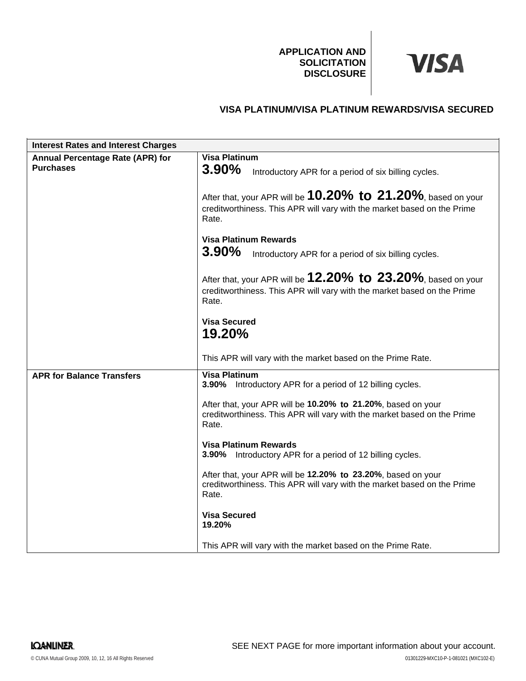**APPLICATION AND SOLICITATION DISCLOSURE**

# **VISA**

# **VISA PLATINUM/VISA PLATINUM REWARDS/VISA SECURED**

| <b>Interest Rates and Interest Charges</b> |                                                                                                                                                         |
|--------------------------------------------|---------------------------------------------------------------------------------------------------------------------------------------------------------|
| <b>Annual Percentage Rate (APR) for</b>    | <b>Visa Platinum</b>                                                                                                                                    |
| <b>Purchases</b>                           | 3.90%<br>Introductory APR for a period of six billing cycles.                                                                                           |
|                                            | After that, your APR will be $10.20\%$ to $21.20\%$ , based on your<br>creditworthiness. This APR will vary with the market based on the Prime<br>Rate. |
|                                            | <b>Visa Platinum Rewards</b>                                                                                                                            |
|                                            | $3.90\%$<br>Introductory APR for a period of six billing cycles.                                                                                        |
|                                            | After that, your APR will be $12.20\%$ to $23.20\%$ , based on your<br>creditworthiness. This APR will vary with the market based on the Prime<br>Rate. |
|                                            | <b>Visa Secured</b><br>19.20%                                                                                                                           |
|                                            | This APR will vary with the market based on the Prime Rate.                                                                                             |
| <b>APR for Balance Transfers</b>           | <b>Visa Platinum</b><br>3.90% Introductory APR for a period of 12 billing cycles.                                                                       |
|                                            | After that, your APR will be 10.20% to 21.20%, based on your<br>creditworthiness. This APR will vary with the market based on the Prime<br>Rate.        |
|                                            | <b>Visa Platinum Rewards</b><br>3.90% Introductory APR for a period of 12 billing cycles.                                                               |
|                                            | After that, your APR will be 12.20% to 23.20%, based on your<br>creditworthiness. This APR will vary with the market based on the Prime<br>Rate.        |
|                                            | <b>Visa Secured</b><br>19.20%                                                                                                                           |
|                                            | This APR will vary with the market based on the Prime Rate.                                                                                             |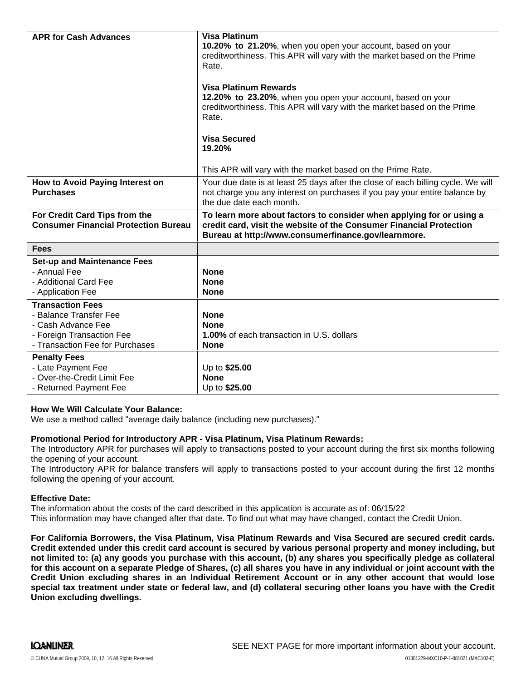| <b>APR for Cash Advances</b>                          | <b>Visa Platinum</b>                                                                                                                                           |
|-------------------------------------------------------|----------------------------------------------------------------------------------------------------------------------------------------------------------------|
|                                                       | 10.20% to 21.20%, when you open your account, based on your<br>creditworthiness. This APR will vary with the market based on the Prime                         |
|                                                       | Rate.                                                                                                                                                          |
|                                                       |                                                                                                                                                                |
|                                                       | <b>Visa Platinum Rewards</b>                                                                                                                                   |
|                                                       | 12.20% to 23.20%, when you open your account, based on your                                                                                                    |
|                                                       | creditworthiness. This APR will vary with the market based on the Prime<br>Rate.                                                                               |
|                                                       |                                                                                                                                                                |
|                                                       | <b>Visa Secured</b>                                                                                                                                            |
|                                                       | 19.20%                                                                                                                                                         |
|                                                       |                                                                                                                                                                |
|                                                       | This APR will vary with the market based on the Prime Rate.                                                                                                    |
| How to Avoid Paying Interest on<br><b>Purchases</b>   | Your due date is at least 25 days after the close of each billing cycle. We will<br>not charge you any interest on purchases if you pay your entire balance by |
|                                                       | the due date each month.                                                                                                                                       |
|                                                       |                                                                                                                                                                |
| For Credit Card Tips from the                         | To learn more about factors to consider when applying for or using a                                                                                           |
| <b>Consumer Financial Protection Bureau</b>           | credit card, visit the website of the Consumer Financial Protection                                                                                            |
|                                                       | Bureau at http://www.consumerfinance.gov/learnmore.                                                                                                            |
| <b>Fees</b>                                           |                                                                                                                                                                |
| <b>Set-up and Maintenance Fees</b>                    |                                                                                                                                                                |
| - Annual Fee                                          | <b>None</b>                                                                                                                                                    |
| - Additional Card Fee                                 | <b>None</b>                                                                                                                                                    |
| - Application Fee                                     | <b>None</b>                                                                                                                                                    |
| <b>Transaction Fees</b>                               |                                                                                                                                                                |
| - Balance Transfer Fee<br>- Cash Advance Fee          | <b>None</b><br><b>None</b>                                                                                                                                     |
| - Foreign Transaction Fee                             | 1.00% of each transaction in U.S. dollars                                                                                                                      |
| - Transaction Fee for Purchases                       | <b>None</b>                                                                                                                                                    |
| <b>Penalty Fees</b>                                   |                                                                                                                                                                |
| - Late Payment Fee                                    | Up to \$25.00                                                                                                                                                  |
| - Over-the-Credit Limit Fee<br>- Returned Payment Fee | <b>None</b><br>Up to \$25.00                                                                                                                                   |

### **How We Will Calculate Your Balance:**

We use a method called "average daily balance (including new purchases)."

#### **Promotional Period for Introductory APR - Visa Platinum, Visa Platinum Rewards:**

The Introductory APR for purchases will apply to transactions posted to your account during the first six months following the opening of your account.

The Introductory APR for balance transfers will apply to transactions posted to your account during the first 12 months following the opening of your account.

#### **Effective Date:**

The information about the costs of the card described in this application is accurate as of: 06/15/22This information may have changed after that date. To find out what may have changed, contact the Credit Union.

**For California Borrowers, the Visa Platinum, Visa Platinum Rewards and Visa Secured are secured credit cards.** Credit extended under this credit card account is secured by various personal property and money including, but not limited to: (a) any goods you purchase with this account, (b) any shares you specifically pledge as collateral for this account on a separate Pledge of Shares, (c) all shares you have in any individual or joint account with the **Credit Union excluding shares in an Individual Retirement Account or in any other account that would lose** special tax treatment under state or federal law, and (d) collateral securing other loans you have with the Credit **Union excluding dwellings.**